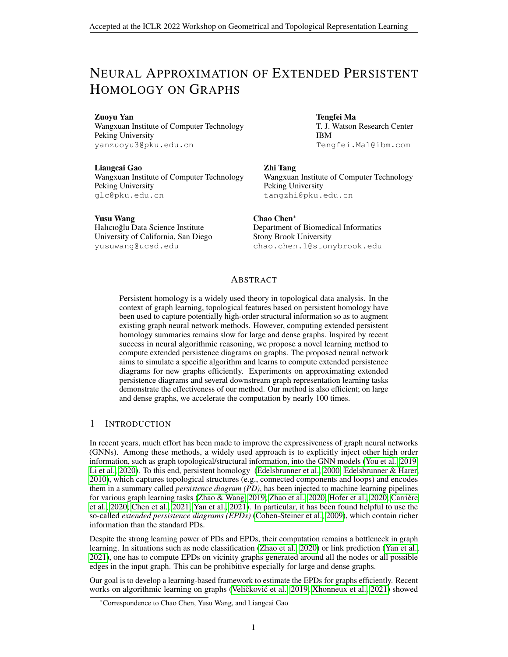# NEURAL APPROXIMATION OF EXTENDED PERSISTENT HOMOLOGY ON GRAPHS

Zuoyu Yan

Wangxuan Institute of Computer Technology Peking University yanzuoyu3@pku.edu.cn

Liangcai Gao Wangxuan Institute of Computer Technology Peking University glc@pku.edu.cn

Tengfei Ma

T. J. Watson Research Center IBM Tengfei.Ma1@ibm.com

#### Zhi Tang

Wangxuan Institute of Computer Technology Peking University tangzhi@pku.edu.cn

Yusu Wang Halıcıoğlu Data Science Institute University of California, San Diego yusuwang@ucsd.edu

Chao Chen<sup>∗</sup> Department of Biomedical Informatics Stony Brook University chao.chen.1@stonybrook.edu

### ABSTRACT

Persistent homology is a widely used theory in topological data analysis. In the context of graph learning, topological features based on persistent homology have been used to capture potentially high-order structural information so as to augment existing graph neural network methods. However, computing extended persistent homology summaries remains slow for large and dense graphs. Inspired by recent success in neural algorithmic reasoning, we propose a novel learning method to compute extended persistence diagrams on graphs. The proposed neural network aims to simulate a specific algorithm and learns to compute extended persistence diagrams for new graphs efficiently. Experiments on approximating extended persistence diagrams and several downstream graph representation learning tasks demonstrate the effectiveness of our method. Our method is also efficient; on large and dense graphs, we accelerate the computation by nearly 100 times.

# 1 INTRODUCTION

In recent years, much effort has been made to improve the expressiveness of graph neural networks (GNNs). Among these methods, a widely used approach is to explicitly inject other high order information, such as graph topological/structural information, into the GNN models [\(You et al., 2019;](#page-6-0) [Li et al., 2020\)](#page-5-0). To this end, persistent homology [\(Edelsbrunner et al., 2000;](#page-4-0) [Edelsbrunner & Harer,](#page-4-1) [2010\)](#page-4-1), which captures topological structures (e.g., connected components and loops) and encodes them in a summary called *persistence diagram (PD)*, has been injected to machine learning pipelines for various graph learning tasks [\(Zhao & Wang, 2019;](#page-6-1) [Zhao et al., 2020;](#page-6-2) [Hofer et al., 2020;](#page-5-1) [Carriere](#page-4-2) ` [et al., 2020;](#page-4-2) [Chen et al., 2021;](#page-4-3) [Yan et al., 2021\)](#page-6-3). In particular, it has been found helpful to use the so-called *extended persistence diagrams (EPDs)* [\(Cohen-Steiner et al., 2009\)](#page-4-4), which contain richer information than the standard PDs.

Despite the strong learning power of PDs and EPDs, their computation remains a bottleneck in graph learning. In situations such as node classification [\(Zhao et al., 2020\)](#page-6-2) or link prediction [\(Yan et al.,](#page-6-3) [2021\)](#page-6-3), one has to compute EPDs on vicinity graphs generated around all the nodes or all possible edges in the input graph. This can be prohibitive especially for large and dense graphs.

Our goal is to develop a learning-based framework to estimate the EPDs for graphs efficiently. Recent works on algorithmic learning on graphs (Veličković et al., [2019;](#page-6-4) [Xhonneux et al., 2021\)](#page-6-5) showed

<sup>∗</sup>Correspondence to Chao Chen, Yusu Wang, and Liangcai Gao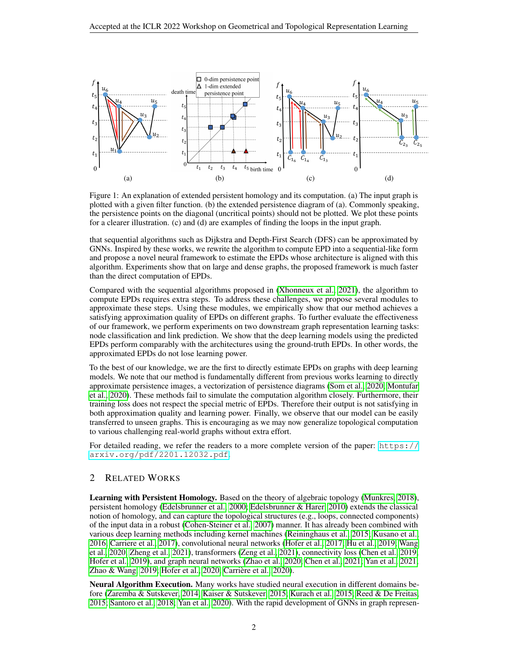

<span id="page-1-0"></span>Figure 1: An explanation of extended persistent homology and its computation. (a) The input graph is plotted with a given filter function. (b) the extended persistence diagram of (a). Commonly speaking, the persistence points on the diagonal (uncritical points) should not be plotted. We plot these points for a clearer illustration. (c) and (d) are examples of finding the loops in the input graph.

that sequential algorithms such as Dijkstra and Depth-First Search (DFS) can be approximated by GNNs. Inspired by these works, we rewrite the algorithm to compute EPD into a sequential-like form and propose a novel neural framework to estimate the EPDs whose architecture is aligned with this algorithm. Experiments show that on large and dense graphs, the proposed framework is much faster than the direct computation of EPDs.

Compared with the sequential algorithms proposed in [\(Xhonneux et al., 2021\)](#page-6-5), the algorithm to compute EPDs requires extra steps. To address these challenges, we propose several modules to approximate these steps. Using these modules, we empirically show that our method achieves a satisfying approximation quality of EPDs on different graphs. To further evaluate the effectiveness of our framework, we perform experiments on two downstream graph representation learning tasks: node classification and link prediction. We show that the deep learning models using the predicted EPDs perform comparably with the architectures using the ground-truth EPDs. In other words, the approximated EPDs do not lose learning power.

To the best of our knowledge, we are the first to directly estimate EPDs on graphs with deep learning models. We note that our method is fundamentally different from previous works learning to directly approximate persistence images, a vectorization of persistence diagrams [\(Som et al., 2020;](#page-6-6) [Montufar](#page-5-2) [et al., 2020\)](#page-5-2). These methods fail to simulate the computation algorithm closely. Furthermore, their training loss does not respect the special metric of EPDs. Therefore their output is not satisfying in both approximation quality and learning power. Finally, we observe that our model can be easily transferred to unseen graphs. This is encouraging as we may now generalize topological computation to various challenging real-world graphs without extra effort.

For detailed reading, we refer the readers to a more complete version of the paper: [https://](https://arxiv.org/pdf/2201.12032.pdf) [arxiv.org/pdf/2201.12032.pdf](https://arxiv.org/pdf/2201.12032.pdf).

## 2 RELATED WORKS

Learning with Persistent Homology. Based on the theory of algebraic topology [\(Munkres, 2018\)](#page-5-3), persistent homology [\(Edelsbrunner et al., 2000;](#page-4-0) [Edelsbrunner & Harer, 2010\)](#page-4-1) extends the classical notion of homology, and can capture the topological structures (e.g., loops, connected components) of the input data in a robust [\(Cohen-Steiner et al., 2007\)](#page-4-5) manner. It has already been combined with various deep learning methods including kernel machines [\(Reininghaus et al., 2015;](#page-5-4) [Kusano et al.,](#page-5-5) [2016;](#page-5-5) [Carriere et al., 2017\)](#page-4-6), convolutional neural networks [\(Hofer et al., 2017;](#page-5-6) [Hu et al., 2019;](#page-5-7) [Wang](#page-6-7) [et al., 2020;](#page-6-7) [Zheng et al., 2021\)](#page-6-8), transformers [\(Zeng et al., 2021\)](#page-6-9), connectivity loss [\(Chen et al., 2019;](#page-4-7) [Hofer et al., 2019\)](#page-5-8), and graph neural networks [\(Zhao et al., 2020;](#page-6-2) [Chen et al., 2021;](#page-4-3) [Yan et al., 2021;](#page-6-3) [Zhao & Wang, 2019;](#page-6-1) [Hofer et al., 2020;](#page-5-1) [Carriere et al., 2020\)](#page-4-2). `

Neural Algorithm Execution. Many works have studied neural execution in different domains before [\(Zaremba & Sutskever, 2014;](#page-6-10) [Kaiser & Sutskever, 2015;](#page-5-9) [Kurach et al., 2015;](#page-5-10) [Reed & De Freitas,](#page-5-11) [2015;](#page-5-11) [Santoro et al., 2018;](#page-5-12) [Yan et al., 2020\)](#page-6-11). With the rapid development of GNNs in graph represen-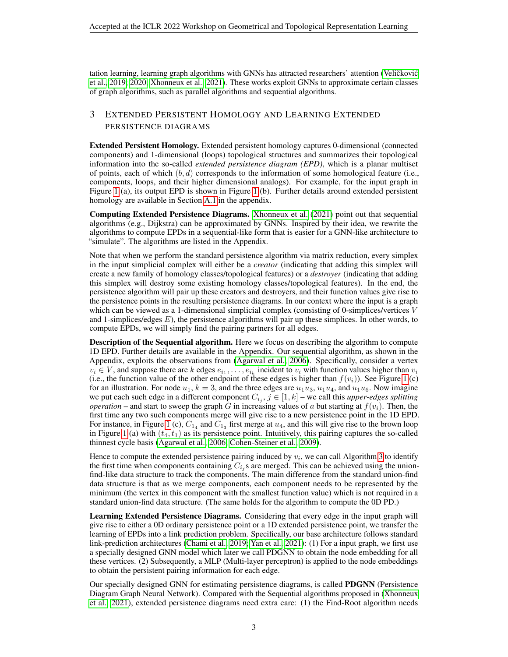tation learning, learning graph algorithms with GNNs has attracted researchers' attention (Veličković [et al., 2019;](#page-6-4) [2020;](#page-6-12) [Xhonneux et al., 2021\)](#page-6-5). These works exploit GNNs to approximate certain classes of graph algorithms, such as parallel algorithms and sequential algorithms.

# 3 EXTENDED PERSISTENT HOMOLOGY AND LEARNING EXTENDED PERSISTENCE DIAGRAMS

Extended Persistent Homology. Extended persistent homology captures 0-dimensional (connected components) and 1-dimensional (loops) topological structures and summarizes their topological information into the so-called *extended persistence diagram (EPD)*, which is a planar multiset of points, each of which  $(b, d)$  corresponds to the information of some homological feature (i.e., components, loops, and their higher dimensional analogs). For example, for the input graph in Figure [1](#page-1-0) (a), its output EPD is shown in Figure [1](#page-1-0) (b). Further details around extended persistent homology are available in Section [A.1](#page-7-0) in the appendix.

Computing Extended Persistence Diagrams. [Xhonneux et al.](#page-6-5) [\(2021\)](#page-6-5) point out that sequential algorithms (e.g., Dijkstra) can be approximated by GNNs. Inspired by their idea, we rewrite the algorithms to compute EPDs in a sequential-like form that is easier for a GNN-like architecture to "simulate". The algorithms are listed in the Appendix.

Note that when we perform the standard persistence algorithm via matrix reduction, every simplex in the input simplicial complex will either be a *creator* (indicating that adding this simplex will create a new family of homology classes/topological features) or a *destroyer* (indicating that adding this simplex will destroy some existing homology classes/topological features). In the end, the persistence algorithm will pair up these creators and destroyers, and their function values give rise to the persistence points in the resulting persistence diagrams. In our context where the input is a graph which can be viewed as a 1-dimensional simplicial complex (consisting of 0-simplices/vertices V and 1-simplices/edges  $E$ ), the persistence algorithms will pair up these simplices. In other words, to compute EPDs, we will simply find the pairing partners for all edges.

**Description of the Sequential algorithm.** Here we focus on describing the algorithm to compute 1D EPD. Further details are available in the Appendix. Our sequential algorithm, as shown in the Appendix, exploits the observations from [\(Agarwal et al., 2006\)](#page-4-8). Specifically, consider a vertex  $v_i \in V$ , and suppose there are k edges  $e_{i_1}, \ldots, e_{i_k}$  incident to  $v_i$  with function values higher than  $v_i$ (i.e., the function value of the other endpoint of these edges is higher than  $f(v_i)$ ). See Figure [1](#page-1-0) (c) for an illustration. For node  $u_1$ ,  $k = 3$ , and the three edges are  $u_1u_3$ ,  $u_1u_4$ , and  $u_1u_6$ . Now imagine we put each such edge in a different component  $C_{i_j}$ ,  $j \in [1, k]$  – we call this *upper-edges splitting operation* – and start to sweep the graph G in increasing values of a but starting at  $f(v_i)$ . Then, the first time any two such components merge will give rise to a new persistence point in the 1D EPD. For instance, in Figure [1](#page-1-0) (c),  $C_{1_4}$  and  $C_{1_3}$  first merge at  $u_4$ , and this will give rise to the brown loop in Figure [1](#page-1-0) (a) with  $(t_4, t_1)$  as its persistence point. Intuitively, this pairing captures the so-called thinnest cycle basis [\(Agarwal et al., 2006;](#page-4-8) [Cohen-Steiner et al., 2009\)](#page-4-4).

Hence to compute the extended persistence pairing induced by  $v_i$ , we can call Algorithm [3](#page-9-0) to identify the first time when components containing  $C_{i_j}$ s are merged. This can be achieved using the unionfind-like data structure to track the components. The main difference from the standard union-find data structure is that as we merge components, each component needs to be represented by the minimum (the vertex in this component with the smallest function value) which is not required in a standard union-find data structure. (The same holds for the algorithm to compute the 0D PD.)

Learning Extended Persistence Diagrams. Considering that every edge in the input graph will give rise to either a 0D ordinary persistence point or a 1D extended persistence point, we transfer the learning of EPDs into a link prediction problem. Specifically, our base architecture follows standard link-prediction architectures [\(Chami et al., 2019;](#page-4-9) [Yan et al., 2021\)](#page-6-3): (1) For a input graph, we first use a specially designed GNN model which later we call PDGNN to obtain the node embedding for all these vertices. (2) Subsequently, a MLP (Multi-layer perceptron) is applied to the node embeddings to obtain the persistent pairing information for each edge.

Our specially designed GNN for estimating persistence diagrams, is called PDGNN (Persistence Diagram Graph Neural Network). Compared with the Sequential algorithms proposed in [\(Xhonneux](#page-6-5) [et al., 2021\)](#page-6-5), extended persistence diagrams need extra care: (1) the Find-Root algorithm needs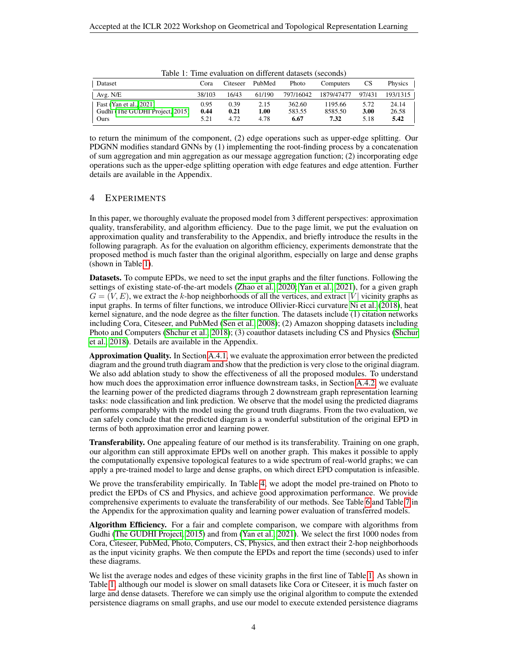<span id="page-3-0"></span>

| Dataset                                                            | Cora                 | Citeseer             | PubMed               | Photo                    | Computers                  | <b>CS</b>            | Physics                |
|--------------------------------------------------------------------|----------------------|----------------------|----------------------|--------------------------|----------------------------|----------------------|------------------------|
| Avg. N/E                                                           | 38/103               | 16/43                | 61/190               | 797/16042                | 1879/47477                 | 97/431               | 193/1315               |
| Fast (Yan et al., 2021)<br>Gudhi (The GUDHI Project, 2015)<br>Ours | 0.95<br>0.44<br>5.21 | 0.39<br>0.21<br>4.72 | 2.15<br>1.00<br>4.78 | 362.60<br>583.55<br>6.67 | 1195.66<br>8585.50<br>7.32 | 5.72<br>3.00<br>5.18 | 24.14<br>26.58<br>5.42 |

Table 1: Time evaluation on different datasets (seconds)

to return the minimum of the component, (2) edge operations such as upper-edge splitting. Our PDGNN modifies standard GNNs by (1) implementing the root-finding process by a concatenation of sum aggregation and min aggregation as our message aggregation function; (2) incorporating edge operations such as the upper-edge splitting operation with edge features and edge attention. Further details are available in the Appendix.

#### <span id="page-3-1"></span>4 EXPERIMENTS

In this paper, we thoroughly evaluate the proposed model from 3 different perspectives: approximation quality, transferability, and algorithm efficiency. Due to the page limit, we put the evaluation on approximation quality and transferability to the Appendix, and briefly introduce the results in the following paragraph. As for the evaluation on algorithm efficiency, experiments demonstrate that the proposed method is much faster than the original algorithm, especially on large and dense graphs (shown in Table [1\)](#page-3-0).

Datasets. To compute EPDs, we need to set the input graphs and the filter functions. Following the settings of existing state-of-the-art models [\(Zhao et al., 2020;](#page-6-2) [Yan et al., 2021\)](#page-6-3), for a given graph  $G = (V, E)$ , we extract the k-hop neighborhoods of all the vertices, and extract |V| vicinity graphs as input graphs. In terms of filter functions, we introduce Ollivier-Ricci curvature [Ni et al.](#page-5-13) [\(2018\)](#page-5-13), heat kernel signature, and the node degree as the filter function. The datasets include (1) citation networks including Cora, Citeseer, and PubMed [\(Sen et al., 2008\)](#page-6-14); (2) Amazon shopping datasets including Photo and Computers [\(Shchur et al., 2018\)](#page-6-15); (3) coauthor datasets including CS and Physics [\(Shchur](#page-6-15) [et al., 2018\)](#page-6-15). Details are available in the Appendix.

Approximation Quality. In Section [A.4.1,](#page-13-0) we evaluate the approximation error between the predicted diagram and the ground truth diagram and show that the prediction is very close to the original diagram. We also add ablation study to show the effectiveness of all the proposed modules. To understand how much does the approximation error influence downstream tasks, in Section [A.4.2,](#page-14-0) we evaluate the learning power of the predicted diagrams through 2 downstream graph representation learning tasks: node classification and link prediction. We observe that the model using the predicted diagrams performs comparably with the model using the ground truth diagrams. From the two evaluation, we can safely conclude that the predicted diagram is a wonderful substitution of the original EPD in terms of both approximation error and learning power.

Transferability. One appealing feature of our method is its transferability. Training on one graph, our algorithm can still approximate EPDs well on another graph. This makes it possible to apply the computationally expensive topological features to a wide spectrum of real-world graphs; we can apply a pre-trained model to large and dense graphs, on which direct EPD computation is infeasible.

We prove the transferability empirically. In Table [4,](#page-13-1) we adopt the model pre-trained on Photo to predict the EPDs of CS and Physics, and achieve good approximation performance. We provide comprehensive experiments to evaluate the transferability of our methods. See Table [6](#page-15-0) and Table [7](#page-16-0) in the Appendix for the approximation quality and learning power evaluation of transferred models.

Algorithm Efficiency. For a fair and complete comparison, we compare with algorithms from Gudhi [\(The GUDHI Project, 2015\)](#page-6-13) and from [\(Yan et al., 2021\)](#page-6-3). We select the first 1000 nodes from Cora, Citeseer, PubMed, Photo, Computers, CS, Physics, and then extract their 2-hop neighborhoods as the input vicinity graphs. We then compute the EPDs and report the time (seconds) used to infer these diagrams.

We list the average nodes and edges of these vicinity graphs in the first line of Table [1.](#page-3-0) As shown in Table [1,](#page-3-0) although our model is slower on small datasets like Cora or Citeseer, it is much faster on large and dense datasets. Therefore we can simply use the original algorithm to compute the extended persistence diagrams on small graphs, and use our model to execute extended persistence diagrams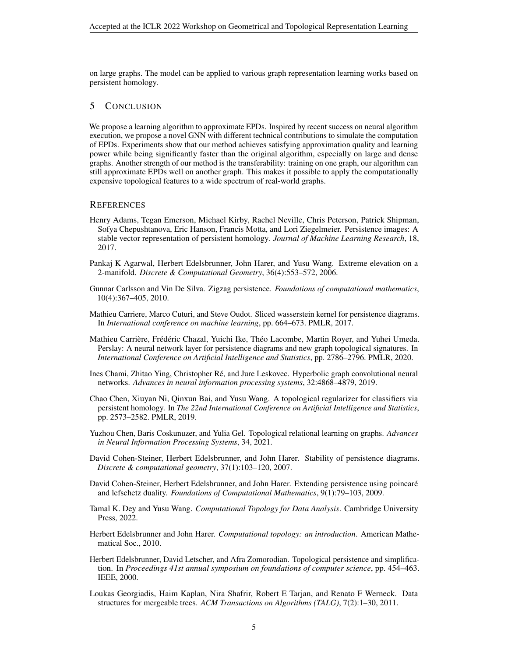on large graphs. The model can be applied to various graph representation learning works based on persistent homology.

#### 5 CONCLUSION

We propose a learning algorithm to approximate EPDs. Inspired by recent success on neural algorithm execution, we propose a novel GNN with different technical contributions to simulate the computation of EPDs. Experiments show that our method achieves satisfying approximation quality and learning power while being significantly faster than the original algorithm, especially on large and dense graphs. Another strength of our method is the transferability: training on one graph, our algorithm can still approximate EPDs well on another graph. This makes it possible to apply the computationally expensive topological features to a wide spectrum of real-world graphs.

#### **REFERENCES**

- <span id="page-4-10"></span>Henry Adams, Tegan Emerson, Michael Kirby, Rachel Neville, Chris Peterson, Patrick Shipman, Sofya Chepushtanova, Eric Hanson, Francis Motta, and Lori Ziegelmeier. Persistence images: A stable vector representation of persistent homology. *Journal of Machine Learning Research*, 18, 2017.
- <span id="page-4-8"></span>Pankaj K Agarwal, Herbert Edelsbrunner, John Harer, and Yusu Wang. Extreme elevation on a 2-manifold. *Discrete & Computational Geometry*, 36(4):553–572, 2006.
- <span id="page-4-11"></span>Gunnar Carlsson and Vin De Silva. Zigzag persistence. *Foundations of computational mathematics*, 10(4):367–405, 2010.
- <span id="page-4-6"></span>Mathieu Carriere, Marco Cuturi, and Steve Oudot. Sliced wasserstein kernel for persistence diagrams. In *International conference on machine learning*, pp. 664–673. PMLR, 2017.
- <span id="page-4-2"></span>Mathieu Carrière, Frédéric Chazal, Yuichi Ike, Théo Lacombe, Martin Royer, and Yuhei Umeda. Perslay: A neural network layer for persistence diagrams and new graph topological signatures. In *International Conference on Artificial Intelligence and Statistics*, pp. 2786–2796. PMLR, 2020.
- <span id="page-4-9"></span>Ines Chami, Zhitao Ying, Christopher Ré, and Jure Leskovec. Hyperbolic graph convolutional neural networks. *Advances in neural information processing systems*, 32:4868–4879, 2019.
- <span id="page-4-7"></span>Chao Chen, Xiuyan Ni, Qinxun Bai, and Yusu Wang. A topological regularizer for classifiers via persistent homology. In *The 22nd International Conference on Artificial Intelligence and Statistics*, pp. 2573–2582. PMLR, 2019.
- <span id="page-4-3"></span>Yuzhou Chen, Baris Coskunuzer, and Yulia Gel. Topological relational learning on graphs. *Advances in Neural Information Processing Systems*, 34, 2021.
- <span id="page-4-5"></span>David Cohen-Steiner, Herbert Edelsbrunner, and John Harer. Stability of persistence diagrams. *Discrete & computational geometry*, 37(1):103–120, 2007.
- <span id="page-4-4"></span>David Cohen-Steiner, Herbert Edelsbrunner, and John Harer. Extending persistence using poincaré and lefschetz duality. *Foundations of Computational Mathematics*, 9(1):79–103, 2009.
- <span id="page-4-12"></span>Tamal K. Dey and Yusu Wang. *Computational Topology for Data Analysis*. Cambridge University Press, 2022.
- <span id="page-4-1"></span>Herbert Edelsbrunner and John Harer. *Computational topology: an introduction*. American Mathematical Soc., 2010.
- <span id="page-4-0"></span>Herbert Edelsbrunner, David Letscher, and Afra Zomorodian. Topological persistence and simplification. In *Proceedings 41st annual symposium on foundations of computer science*, pp. 454–463. IEEE, 2000.
- <span id="page-4-13"></span>Loukas Georgiadis, Haim Kaplan, Nira Shafrir, Robert E Tarjan, and Renato F Werneck. Data structures for mergeable trees. *ACM Transactions on Algorithms (TALG)*, 7(2):1–30, 2011.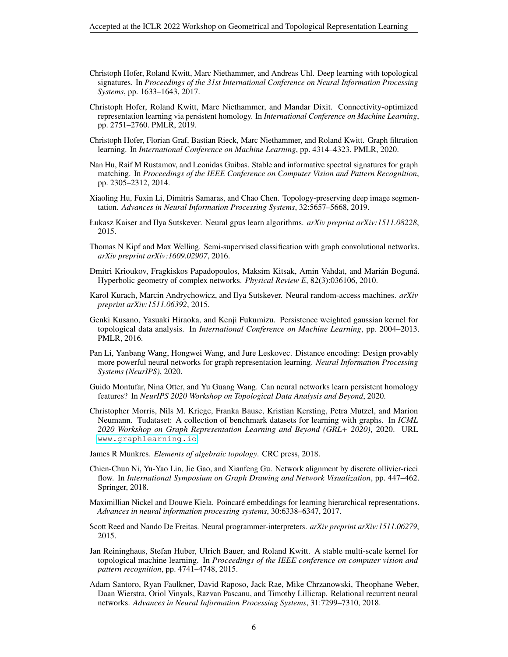- <span id="page-5-6"></span>Christoph Hofer, Roland Kwitt, Marc Niethammer, and Andreas Uhl. Deep learning with topological signatures. In *Proceedings of the 31st International Conference on Neural Information Processing Systems*, pp. 1633–1643, 2017.
- <span id="page-5-8"></span>Christoph Hofer, Roland Kwitt, Marc Niethammer, and Mandar Dixit. Connectivity-optimized representation learning via persistent homology. In *International Conference on Machine Learning*, pp. 2751–2760. PMLR, 2019.
- <span id="page-5-1"></span>Christoph Hofer, Florian Graf, Bastian Rieck, Marc Niethammer, and Roland Kwitt. Graph filtration learning. In *International Conference on Machine Learning*, pp. 4314–4323. PMLR, 2020.
- <span id="page-5-14"></span>Nan Hu, Raif M Rustamov, and Leonidas Guibas. Stable and informative spectral signatures for graph matching. In *Proceedings of the IEEE Conference on Computer Vision and Pattern Recognition*, pp. 2305–2312, 2014.
- <span id="page-5-7"></span>Xiaoling Hu, Fuxin Li, Dimitris Samaras, and Chao Chen. Topology-preserving deep image segmentation. *Advances in Neural Information Processing Systems*, 32:5657–5668, 2019.
- <span id="page-5-9"></span>Łukasz Kaiser and Ilya Sutskever. Neural gpus learn algorithms. *arXiv preprint arXiv:1511.08228*, 2015.
- <span id="page-5-15"></span>Thomas N Kipf and Max Welling. Semi-supervised classification with graph convolutional networks. *arXiv preprint arXiv:1609.02907*, 2016.
- <span id="page-5-16"></span>Dmitri Krioukov, Fragkiskos Papadopoulos, Maksim Kitsak, Amin Vahdat, and Marián Boguná. Hyperbolic geometry of complex networks. *Physical Review E*, 82(3):036106, 2010.
- <span id="page-5-10"></span>Karol Kurach, Marcin Andrychowicz, and Ilya Sutskever. Neural random-access machines. *arXiv preprint arXiv:1511.06392*, 2015.
- <span id="page-5-5"></span>Genki Kusano, Yasuaki Hiraoka, and Kenji Fukumizu. Persistence weighted gaussian kernel for topological data analysis. In *International Conference on Machine Learning*, pp. 2004–2013. PMLR, 2016.
- <span id="page-5-0"></span>Pan Li, Yanbang Wang, Hongwei Wang, and Jure Leskovec. Distance encoding: Design provably more powerful neural networks for graph representation learning. *Neural Information Processing Systems (NeurIPS)*, 2020.
- <span id="page-5-2"></span>Guido Montufar, Nina Otter, and Yu Guang Wang. Can neural networks learn persistent homology features? In *NeurIPS 2020 Workshop on Topological Data Analysis and Beyond*, 2020.
- <span id="page-5-18"></span>Christopher Morris, Nils M. Kriege, Franka Bause, Kristian Kersting, Petra Mutzel, and Marion Neumann. Tudataset: A collection of benchmark datasets for learning with graphs. In *ICML 2020 Workshop on Graph Representation Learning and Beyond (GRL+ 2020)*, 2020. URL <www.graphlearning.io>.
- <span id="page-5-3"></span>James R Munkres. *Elements of algebraic topology*. CRC press, 2018.
- <span id="page-5-13"></span>Chien-Chun Ni, Yu-Yao Lin, Jie Gao, and Xianfeng Gu. Network alignment by discrete ollivier-ricci flow. In *International Symposium on Graph Drawing and Network Visualization*, pp. 447–462. Springer, 2018.
- <span id="page-5-17"></span>Maximillian Nickel and Douwe Kiela. Poincaré embeddings for learning hierarchical representations. *Advances in neural information processing systems*, 30:6338–6347, 2017.
- <span id="page-5-11"></span>Scott Reed and Nando De Freitas. Neural programmer-interpreters. *arXiv preprint arXiv:1511.06279*, 2015.
- <span id="page-5-4"></span>Jan Reininghaus, Stefan Huber, Ulrich Bauer, and Roland Kwitt. A stable multi-scale kernel for topological machine learning. In *Proceedings of the IEEE conference on computer vision and pattern recognition*, pp. 4741–4748, 2015.
- <span id="page-5-12"></span>Adam Santoro, Ryan Faulkner, David Raposo, Jack Rae, Mike Chrzanowski, Theophane Weber, Daan Wierstra, Oriol Vinyals, Razvan Pascanu, and Timothy Lillicrap. Relational recurrent neural networks. *Advances in Neural Information Processing Systems*, 31:7299–7310, 2018.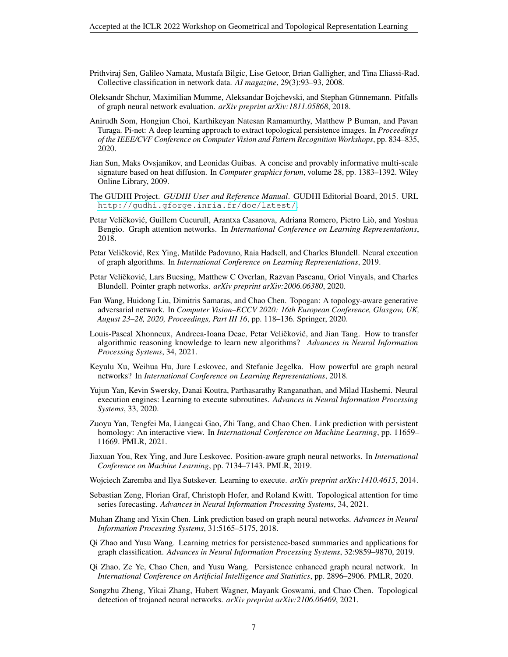- <span id="page-6-14"></span>Prithviraj Sen, Galileo Namata, Mustafa Bilgic, Lise Getoor, Brian Galligher, and Tina Eliassi-Rad. Collective classification in network data. *AI magazine*, 29(3):93–93, 2008.
- <span id="page-6-15"></span>Oleksandr Shchur, Maximilian Mumme, Aleksandar Bojchevski, and Stephan Gunnemann. Pitfalls ¨ of graph neural network evaluation. *arXiv preprint arXiv:1811.05868*, 2018.
- <span id="page-6-6"></span>Anirudh Som, Hongjun Choi, Karthikeyan Natesan Ramamurthy, Matthew P Buman, and Pavan Turaga. Pi-net: A deep learning approach to extract topological persistence images. In *Proceedings of the IEEE/CVF Conference on Computer Vision and Pattern Recognition Workshops*, pp. 834–835, 2020.
- <span id="page-6-18"></span>Jian Sun, Maks Ovsjanikov, and Leonidas Guibas. A concise and provably informative multi-scale signature based on heat diffusion. In *Computer graphics forum*, volume 28, pp. 1383–1392. Wiley Online Library, 2009.
- <span id="page-6-13"></span>The GUDHI Project. *GUDHI User and Reference Manual*. GUDHI Editorial Board, 2015. URL <http://gudhi.gforge.inria.fr/doc/latest/>.
- <span id="page-6-17"></span>Petar Veličković, Guillem Cucurull, Arantxa Casanova, Adriana Romero, Pietro Liò, and Yoshua Bengio. Graph attention networks. In *International Conference on Learning Representations*, 2018.
- <span id="page-6-4"></span>Petar Veličković, Rex Ying, Matilde Padovano, Raia Hadsell, and Charles Blundell. Neural execution of graph algorithms. In *International Conference on Learning Representations*, 2019.
- <span id="page-6-12"></span>Petar Veličković, Lars Buesing, Matthew C Overlan, Razvan Pascanu, Oriol Vinyals, and Charles Blundell. Pointer graph networks. *arXiv preprint arXiv:2006.06380*, 2020.
- <span id="page-6-7"></span>Fan Wang, Huidong Liu, Dimitris Samaras, and Chao Chen. Topogan: A topology-aware generative adversarial network. In *Computer Vision–ECCV 2020: 16th European Conference, Glasgow, UK, August 23–28, 2020, Proceedings, Part III 16*, pp. 118–136. Springer, 2020.
- <span id="page-6-5"></span>Louis-Pascal Xhonneux, Andreea-Ioana Deac, Petar Veličković, and Jian Tang. How to transfer algorithmic reasoning knowledge to learn new algorithms? *Advances in Neural Information Processing Systems*, 34, 2021.
- <span id="page-6-16"></span>Keyulu Xu, Weihua Hu, Jure Leskovec, and Stefanie Jegelka. How powerful are graph neural networks? In *International Conference on Learning Representations*, 2018.
- <span id="page-6-11"></span>Yujun Yan, Kevin Swersky, Danai Koutra, Parthasarathy Ranganathan, and Milad Hashemi. Neural execution engines: Learning to execute subroutines. *Advances in Neural Information Processing Systems*, 33, 2020.
- <span id="page-6-3"></span>Zuoyu Yan, Tengfei Ma, Liangcai Gao, Zhi Tang, and Chao Chen. Link prediction with persistent homology: An interactive view. In *International Conference on Machine Learning*, pp. 11659– 11669. PMLR, 2021.
- <span id="page-6-0"></span>Jiaxuan You, Rex Ying, and Jure Leskovec. Position-aware graph neural networks. In *International Conference on Machine Learning*, pp. 7134–7143. PMLR, 2019.
- <span id="page-6-10"></span>Wojciech Zaremba and Ilya Sutskever. Learning to execute. *arXiv preprint arXiv:1410.4615*, 2014.
- <span id="page-6-9"></span>Sebastian Zeng, Florian Graf, Christoph Hofer, and Roland Kwitt. Topological attention for time series forecasting. *Advances in Neural Information Processing Systems*, 34, 2021.
- <span id="page-6-19"></span>Muhan Zhang and Yixin Chen. Link prediction based on graph neural networks. *Advances in Neural Information Processing Systems*, 31:5165–5175, 2018.
- <span id="page-6-1"></span>Qi Zhao and Yusu Wang. Learning metrics for persistence-based summaries and applications for graph classification. *Advances in Neural Information Processing Systems*, 32:9859–9870, 2019.
- <span id="page-6-2"></span>Qi Zhao, Ze Ye, Chao Chen, and Yusu Wang. Persistence enhanced graph neural network. In *International Conference on Artificial Intelligence and Statistics*, pp. 2896–2906. PMLR, 2020.
- <span id="page-6-8"></span>Songzhu Zheng, Yikai Zhang, Hubert Wagner, Mayank Goswami, and Chao Chen. Topological detection of trojaned neural networks. *arXiv preprint arXiv:2106.06469*, 2021.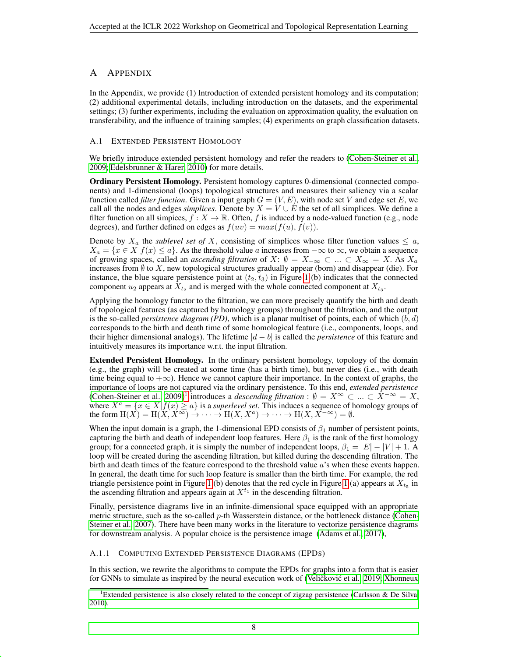# A APPENDIX

In the Appendix, we provide (1) Introduction of extended persistent homology and its computation; (2) additional experimental details, including introduction on the datasets, and the experimental settings; (3) further experiments, including the evaluation on approximation quality, the evaluation on transferability, and the influence of training samples; (4) experiments on graph classification datasets.

#### <span id="page-7-0"></span>A.1 EXTENDED PERSISTENT HOMOLOGY

We briefly introduce extended persistent homology and refer the readers to [\(Cohen-Steiner et al.,](#page-4-4) [2009;](#page-4-4) [Edelsbrunner & Harer, 2010\)](#page-4-1) for more details.

Ordinary Persistent Homology. Persistent homology captures 0-dimensional (connected components) and 1-dimensional (loops) topological structures and measures their saliency via a scalar function called *filter function*. Given a input graph  $G = (V, E)$ , with node set V and edge set E, we call all the nodes and edges *simplices*. Denote by  $X = V \cup E$  the set of all simplices. We define a filter function on all simpices,  $f : X \to \mathbb{R}$ . Often, f is induced by a node-valued function (e.g., node degrees), and further defined on edges as  $f(uv) = max(f(u), f(v))$ .

Denote by  $X_a$  the *sublevel set of* X, consisting of simplices whose filter function values  $\leq a$ ,  $X_a = \{x \in X | f(x) \le a\}.$  As the threshold value a increases from  $-\infty$  to  $\infty$ , we obtain a sequence of growing spaces, called an *ascending filtration* of X:  $\emptyset = X_{-\infty} \subset ... \subset X_{\infty} = X$ . As  $X_a$ increases from  $\emptyset$  to X, new topological structures gradually appear (born) and disappear (die). For instance, the blue square persistence point at  $(t_2, t_3)$  in Figure [1](#page-1-0) (b) indicates that the connected component  $u_2$  appears at  $X_{t_2}$  and is merged with the whole connected component at  $X_{t_3}$ .

Applying the homology functor to the filtration, we can more precisely quantify the birth and death of topological features (as captured by homology groups) throughout the filtration, and the output is the so-called *persistence diagram* (PD), which is a planar multiset of points, each of which  $(b, d)$ corresponds to the birth and death time of some homological feature (i.e., components, loops, and their higher dimensional analogs). The lifetime |d − b| is called the *persistence* of this feature and intuitively measures its importance w.r.t. the input filtration.

Extended Persistent Homology. In the ordinary persistent homology, topology of the domain (e.g., the graph) will be created at some time (has a birth time), but never dies (i.e., with death time being equal to  $+\infty$ ). Hence we cannot capture their importance. In the context of graphs, the importance of loops are not captured via the ordinary persistence. To this end, *extended persistence* [\(Cohen-Steiner et al., 2009\)](#page-4-4)<sup>[1](#page-7-1)</sup> introduces a *descending filtration* :  $\emptyset = X^\infty$  ⊂ ... ⊂  $\hat{X}^{-\infty} = X$ , where  $X^a = \{x \in X | f(x) \ge a\}$  is a *superlevel set*. This induces a sequence of homology groups of the form  $H(X) = H(X, X^{\infty}) \to \cdots \to H(X, X^{a}) \to \cdots \to H(X, X^{-\infty}) = \emptyset$ .

When the input domain is a graph, the 1-dimensional EPD consists of  $\beta_1$  number of persistent points, capturing the birth and death of independent loop features. Here  $\beta_1$  is the rank of the first homology group; for a connected graph, it is simply the number of independent loops,  $\beta_1 = |E| - |V| + 1$ . A loop will be created during the ascending filtration, but killed during the descending filtration. The birth and death times of the feature correspond to the threshold value a's when these events happen. In general, the death time for such loop feature is smaller than the birth time. For example, the red triangle persistence point in Figure [1](#page-1-0) (b) denotes that the red cycle in Figure 1 (a) appears at  $X_{t_5}$  in the ascending filtration and appears again at  $X^{t_1}$  in the descending filtration.

Finally, persistence diagrams live in an infinite-dimensional space equipped with an appropriate metric structure, such as the so-called  $p$ -th Wasserstein distance, or the bottleneck distance [\(Cohen-](#page-4-5)[Steiner et al., 2007\)](#page-4-5). There have been many works in the literature to vectorize persistence diagrams for downstream analysis. A popular choice is the persistence image [\(Adams et al., 2017\)](#page-4-10),

#### <span id="page-7-2"></span>A.1.1 COMPUTING EXTENDED PERSISTENCE DIAGRAMS (EPDS)

In this section, we rewrite the algorithms to compute the EPDs for graphs into a form that is easier for GNNs to simulate as inspired by the neural execution work of (Veličković et al., [2019;](#page-6-4) [Xhonneux](#page-6-5)

<span id="page-7-1"></span><sup>&</sup>lt;sup>1</sup>[Extended persistence is also closely related to the concept of zigzag persistence \(Carlsson & De Silva,](#page-6-5) [2010\).](#page-6-5)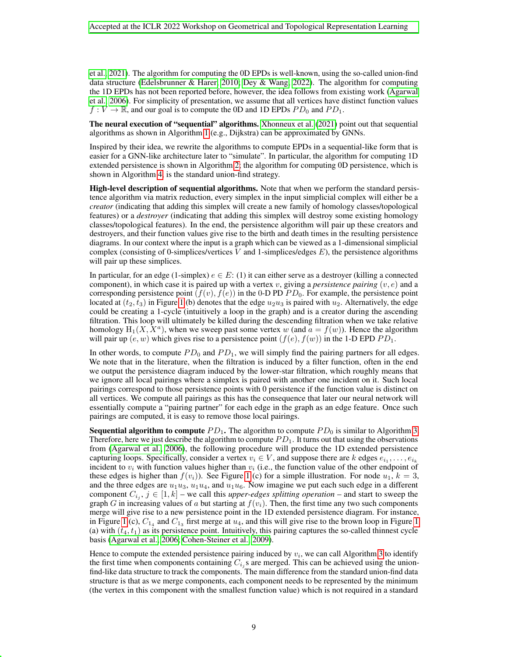[et al., 2021\)](#page-6-5). The algorithm for computing the 0D EPDs is well-known, using the so-called union-find data structure [\(Edelsbrunner & Harer, 2010;](#page-4-1) [Dey & Wang, 2022\)](#page-4-12). The algorithm for computing the 1D EPDs has not been reported before, however, the idea follows from existing work [\(Agarwal](#page-4-8) [et al., 2006\)](#page-4-8). For simplicity of presentation, we assume that all vertices have distinct function values  $f: V \to \mathbb{R}$ , and our goal is to compute the 0D and 1D EPDs  $PD_0$  and  $PD_1$ .

The neural execution of "sequential" algorithms. [Xhonneux et al.](#page-6-5) [\(2021\)](#page-6-5) point out that sequential algorithms as shown in Algorithm [1](#page-9-1) (e.g., Dijkstra) can be approximated by GNNs.

Inspired by their idea, we rewrite the algorithms to compute EPDs in a sequential-like form that is easier for a GNN-like architecture later to "simulate". In particular, the algorithm for computing 1D extended persistence is shown in Algorithm [2;](#page-9-2) the algorithm for computing 0D persistence, which is shown in Algorithm [4,](#page-10-0) is the standard union-find strategy.

High-level description of sequential algorithms. Note that when we perform the standard persistence algorithm via matrix reduction, every simplex in the input simplicial complex will either be a *creator* (indicating that adding this simplex will create a new family of homology classes/topological features) or a *destroyer* (indicating that adding this simplex will destroy some existing homology classes/topological features). In the end, the persistence algorithm will pair up these creators and destroyers, and their function values give rise to the birth and death times in the resulting persistence diagrams. In our context where the input is a graph which can be viewed as a 1-dimensional simplicial complex (consisting of 0-simplices/vertices V and 1-simplices/edges  $E$ ), the persistence algorithms will pair up these simplices.

In particular, for an edge (1-simplex)  $e \in E$ : (1) it can either serve as a destroyer (killing a connected component), in which case it is paired up with a vertex v, giving a *persistence pairing*  $(v, e)$  and a corresponding persistence point  $(f(v), f(e))$  in the 0-D PD PD<sub>0</sub>. For example, the persistence point located at  $(t_2, t_3)$  in Figure [1](#page-1-0) (b) denotes that the edge  $u_2u_3$  is paired with  $u_2$ . Alternatively, the edge could be creating a 1-cycle (intuitively a loop in the graph) and is a creator during the ascending filtration. This loop will ultimately be killed during the descending filtration when we take relative homology  $H_1(X, X^a)$ , when we sweep past some vertex w (and  $a = f(w)$ ). Hence the algorithm will pair up  $(e, w)$  which gives rise to a persistence point  $(f(e), f(w))$  in the 1-D EPD  $PD_1$ .

In other words, to compute  $PD_0$  and  $PD_1$ , we will simply find the pairing partners for all edges. We note that in the literature, when the filtration is induced by a filter function, often in the end we output the persistence diagram induced by the lower-star filtration, which roughly means that we ignore all local pairings where a simplex is paired with another one incident on it. Such local pairings correspond to those persistence points with 0 persistence if the function value is distinct on all vertices. We compute all pairings as this has the consequence that later our neural network will essentially compute a "pairing partner" for each edge in the graph as an edge feature. Once such pairings are computed, it is easy to remove those local pairings.

**Sequential algorithm to compute**  $PD_1$ . The algorithm to compute  $PD_0$  is similar to Algorithm [3.](#page-9-0) Therefore, here we just describe the algorithm to compute  $PD_1$ . It turns out that using the observations from [\(Agarwal et al., 2006\)](#page-4-8), the following procedure will produce the 1D extended persistence capturing loops. Specifically, consider a vertex  $v_i \in V$ , and suppose there are k edges  $e_{i_1}, \ldots, e_{i_k}$ incident to  $v_i$  with function values higher than  $v_i$  (i.e., the function value of the other endpoint of these edges is higher than  $f(v_i)$ ). See Figure [1](#page-1-0) (c) for a simple illustration. For node  $u_1, k = 3$ , and the three edges are  $u_1u_3$ ,  $u_1u_4$ , and  $u_1u_6$ . Now imagine we put each such edge in a different component  $C_{i_j}$ ,  $j \in [1, k]$  – we call this *upper-edges splitting operation* – and start to sweep the graph G in increasing values of a but starting at  $f(v_i)$ . Then, the first time any two such components merge will give rise to a new persistence point in the 1D extended persistence diagram. For instance, in Figure [1](#page-1-0) (c),  $C_{14}$  and  $C_{13}$  first merge at  $u_4$ , and this will give rise to the brown loop in Figure 1 (a) with  $(t_4, t_1)$  as its persistence point. Intuitively, this pairing captures the so-called thinnest cycle basis [\(Agarwal et al., 2006;](#page-4-8) [Cohen-Steiner et al., 2009\)](#page-4-4).

Hence to compute the extended persistence pairing induced by  $v_i$ , we can call Algorithm [3](#page-9-0) to identify the first time when components containing  $C_{i,j}$ s are merged. This can be achieved using the unionfind-like data structure to track the components. The main difference from the standard union-find data structure is that as we merge components, each component needs to be represented by the minimum (the vertex in this component with the smallest function value) which is not required in a standard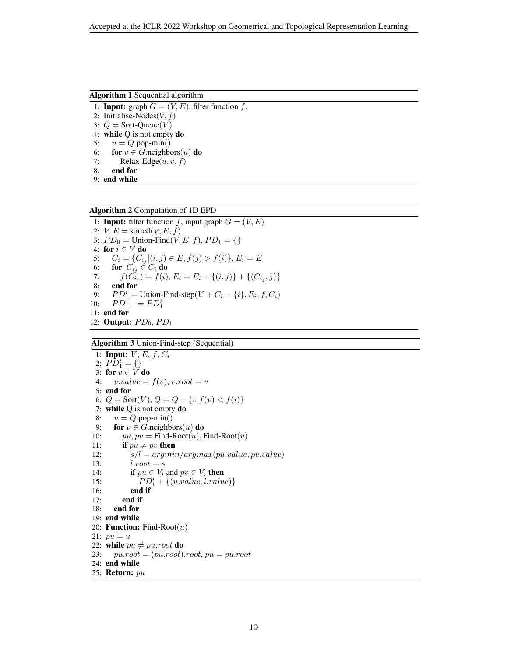Algorithm 1 Sequential algorithm

1: **Input:** graph  $G = (V, E)$ , filter function f.

2: Initialise-Nodes $(V, f)$ 3:  $Q =$  Sort-Queue $(V)$ 4: while Q is not empty do 5:  $u = Q$ .pop-min() 6: for  $v \in G$  neighbors $(u)$  do 7: Relax-Edge $(u, v, f)$ 8: end for

<span id="page-9-1"></span>9: end while

Algorithm 2 Computation of 1D EPD

1: **Input:** filter function f, input graph  $G = (V, E)$ 2:  $V, E = \text{sorted}(V, E, f)$ 3:  $PD_0 =$  Union-Find $(V, E, f)$ ,  $PD_1 = \{\}$ 4: for  $i \in V$  do 5:  $C_i = \{C_{i_j} | (i, j) \in E, f(j) > f(i) \}, E_i = E$ 6: **for**  $C_{i_j} \in C_i$  **do**<br>7:  $f(C_{i_j}) = f(i)$ 7:  $f(C_{i_j}) = f(i), E_i = E_i - \{(i,j)\} + \{(C_{i_j}, j)\}$ 8: end for 9:  $PD_1^i =$  Union-Find-step $(V + C_i - \{i\}, E_i, f, C_i)$ 10:  $PD_1 + = PD_1^i$ 11: end for 12: Output:  $PD_0, PD_1$ 

#### <span id="page-9-2"></span>Algorithm 3 Union-Find-step (Sequential)

<span id="page-9-0"></span>1: Input:  $V, E, f, C_i$ 2:  $P\overline{D}_1^i = \{\}$ 3: for  $v \in V$  do 4:  $v.value = f(v), v(root = v)$ 5: end for 6:  $Q = \text{Sort}(V)$ ,  $Q = Q - \{v | f(v) < f(i) \}$ 7: while Q is not empty do 8:  $u = Q$ .pop-min() 9: for  $v \in G$ .neighbors $(u)$  do 10:  $pu, pv = Find-Root(u), Find-Root(v)$ 11: if  $pu \neq pv$  then 12:  $s/l = argmin/argmax(pu.value, pv.value)$ 13:  $l.root = s$ 14: **if**  $pu \in V_i$  and  $pv \in V_i$  then 15:  $PD_1^i + \{(u.value, l.value)\}$ 16: end if 17: end if 18: end for 19: end while 20: **Function:** Find-Root $(u)$ 21:  $pu = u$ 22: while  $pu \neq pu-root$  do 23:  $pu(root = (pu(root).root, pu = pu(root)$ 24: end while 25: Return: pu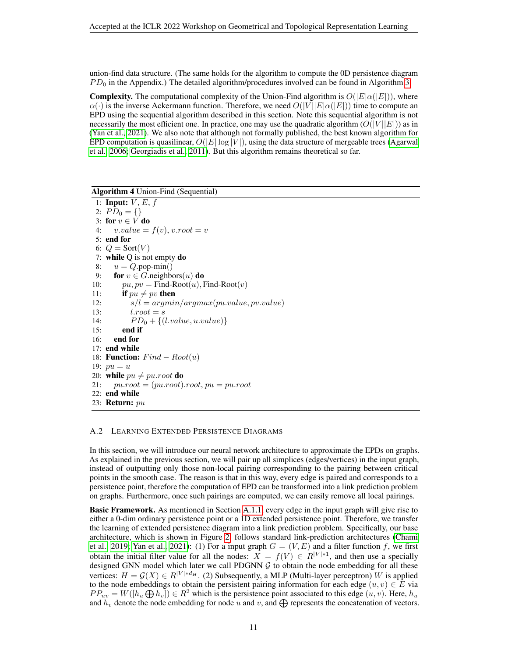union-find data structure. (The same holds for the algorithm to compute the 0D persistence diagram  $PD_0$  in the Appendix.) The detailed algorithm/procedures involved can be found in Algorithm [3.](#page-9-0)

**Complexity.** The computational complexity of the Union-Find algorithm is  $O(|E|\alpha(|E|))$ , where  $\alpha(\cdot)$  is the inverse Ackermann function. Therefore, we need  $O(|V||E|\alpha(|E|))$  time to compute an EPD using the sequential algorithm described in this section. Note this sequential algorithm is not necessarily the most efficient one. In practice, one may use the quadratic algorithm  $(O(|V||E|))$  as in [\(Yan et al., 2021\)](#page-6-3). We also note that although not formally published, the best known algorithm for EPD computation is quasilinear,  $O(|E| \log |V|)$ , using the data structure of mergeable trees [\(Agarwal](#page-4-8) [et al., 2006;](#page-4-8) [Georgiadis et al., 2011\)](#page-4-13). But this algorithm remains theoretical so far.

Algorithm 4 Union-Find (Sequential)

1: Input:  $V, E, f$ 2:  $PD_0 = \{\}$ 3: for  $v \in V$  do 4:  $v.value = f(v), v(root = v)$ 5: end for 6:  $Q = \text{Sort}(V)$ 7: while Q is not empty do 8:  $u = Q$ .pop-min() 9: for  $v \in G$ .neighbors $(u)$  do 10:  $pu, pv = Find-Root(u), Find-Root(v)$ 11: **if**  $pu \neq pv$  then 12:  $s/l = argmin/argmax(pu.value, pv.value)$ 13:  $l.root = s$ 14:  $PD_0 + \{(l.value, u.value)\}$ 15: end if 16: end for 17: end while 18: **Function:**  $Find - Root(u)$ 19:  $pu = u$ 20: while  $pu \neq pu-root$  do 21:  $pu(root = (pu(root).root, pu = pu(root)$ 22: end while 23: **Return:**  $pu$ 

#### <span id="page-10-1"></span><span id="page-10-0"></span>A.2 LEARNING EXTENDED PERSISTENCE DIAGRAMS

In this section, we will introduce our neural network architecture to approximate the EPDs on graphs. As explained in the previous section, we will pair up all simplices (edges/vertices) in the input graph, instead of outputting only those non-local pairing corresponding to the pairing between critical points in the smooth case. The reason is that in this way, every edge is paired and corresponds to a persistence point, therefore the computation of EPD can be transformed into a link prediction problem on graphs. Furthermore, once such pairings are computed, we can easily remove all local pairings.

Basic Framework. As mentioned in Section [A.1.1,](#page-7-2) every edge in the input graph will give rise to either a 0-dim ordinary persistence point or a 1D extended persistence point. Therefore, we transfer the learning of extended persistence diagram into a link prediction problem. Specifically, our base architecture, which is shown in Figure [2,](#page-11-0) follows standard link-prediction architectures [\(Chami](#page-4-9) [et al., 2019;](#page-4-9) [Yan et al., 2021\)](#page-6-3): (1) For a input graph  $G = (V, E)$  and a filter function f, we first obtain the initial filter value for all the nodes:  $X = f(V) \in R^{|V|+1}$ , and then use a specially designed GNN model which later we call PDGNN  $G$  to obtain the node embedding for all these vertices:  $H = \mathcal{G}(X) \in R^{|V| * d_H}$ . (2) Subsequently, a MLP (Multi-layer perceptron) W is applied to the node embeddings to obtain the persistent pairing information for each edge  $(u, v) \in E$  via  $PP_{uv} = W([h_u \bigoplus h_v]) \in R^2$  which is the persistence point associated to this edge  $(u, v)$ . Here,  $h_u$ and  $h_v$  denote the node embedding for node u and v, and  $\bigoplus$  represents the concatenation of vectors.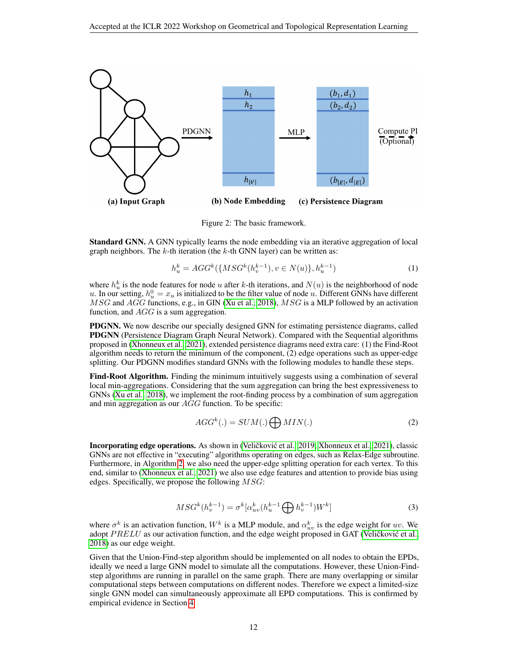

<span id="page-11-0"></span>Figure 2: The basic framework.

Standard GNN. A GNN typically learns the node embedding via an iterative aggregation of local graph neighbors. The  $k$ -th iteration (the  $k$ -th GNN layer) can be written as:

$$
h_u^k = AGG^k(\{MSG^k(h_v^{k-1}), v \in N(u)\}, h_u^{k-1})
$$
\n(1)

where  $h_u^k$  is the node features for node u after k-th iterations, and  $N(u)$  is the neighborhood of node u. In our setting,  $h_u^0 = x_u$  is initialized to be the filter value of node u. Different GNNs have different  $MSG$  and  $AGG$  functions, e.g., in GIN [\(Xu et al., 2018\)](#page-6-16),  $MSG$  is a MLP followed by an activation function, and  $AGG$  is a sum aggregation.

PDGNN. We now describe our specially designed GNN for estimating persistence diagrams, called PDGNN (Persistence Diagram Graph Neural Network). Compared with the Sequential algorithms proposed in [\(Xhonneux et al., 2021\)](#page-6-5), extended persistence diagrams need extra care: (1) the Find-Root algorithm needs to return the minimum of the component, (2) edge operations such as upper-edge splitting. Our PDGNN modifies standard GNNs with the following modules to handle these steps.

Find-Root Algorithm. Finding the minimum intuitively suggests using a combination of several local min-aggregations. Considering that the sum aggregation can bring the best expressiveness to GNNs [\(Xu et al., 2018\)](#page-6-16), we implement the root-finding process by a combination of sum aggregation and min aggregation as our AGG function. To be specific:

$$
AGG^{k}(.) = SUM(.) \bigoplus MIN(.) \tag{2}
$$

Incorporating edge operations. As shown in (Veličković et al., [2019;](#page-6-4) [Xhonneux et al., 2021\)](#page-6-5), classic GNNs are not effective in "executing" algorithms operating on edges, such as Relax-Edge subroutine. Furthermore, in Algorithm [2,](#page-9-2) we also need the upper-edge splitting operation for each vertex. To this end, similar to [\(Xhonneux et al., 2021\)](#page-6-5) we also use edge features and attention to provide bias using edges. Specifically, we propose the following  $MSG$ :

$$
MSG^{k}(h_{v}^{k-1}) = \sigma^{k} [\alpha_{uv}^{k}(h_{u}^{k-1} \bigoplus h_{v}^{k-1})W^{k}]
$$
\n(3)

where  $\sigma^k$  is an activation function,  $W^k$  is a MLP module, and  $\alpha_{uv}^k$  is the edge weight for  $uv$ . We adopt  $PRELU$  as our activation function, and the edge weight proposed in GAT (Veličković et al., [2018\)](#page-6-17) as our edge weight.

Given that the Union-Find-step algorithm should be implemented on all nodes to obtain the EPDs, ideally we need a large GNN model to simulate all the computations. However, these Union-Findstep algorithms are running in parallel on the same graph. There are many overlapping or similar computational steps between computations on different nodes. Therefore we expect a limited-size single GNN model can simultaneously approximate all EPD computations. This is confirmed by empirical evidence in Section [4.](#page-3-1)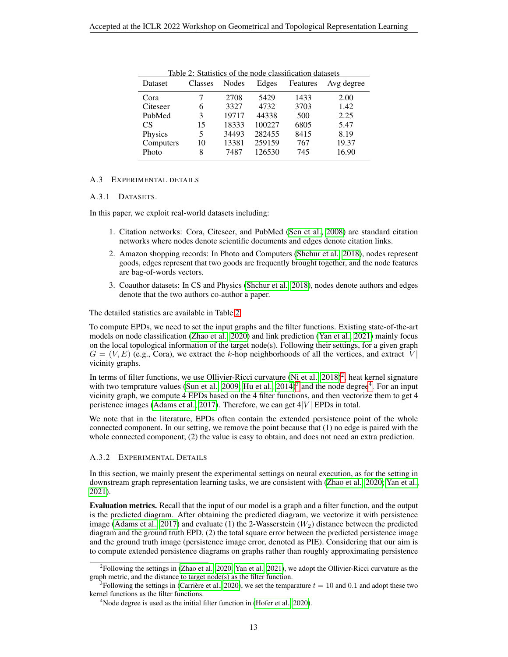<span id="page-12-0"></span>

| Dataset   | Classes | Nodes | Edges  | Features | Avg degree |
|-----------|---------|-------|--------|----------|------------|
| Cora      |         | 2708  | 5429   | 1433     | 2.00       |
| Citeseer  | 6       | 3327  | 4732   | 3703     | 1.42       |
| PubMed    | 3       | 19717 | 44338  | 500      | 2.25       |
| CS        | 15      | 18333 | 100227 | 6805     | 5.47       |
| Physics   | 5       | 34493 | 282455 | 8415     | 8.19       |
| Computers | 10      | 13381 | 259159 | 767      | 19.37      |
| Photo     | 8       | 7487  | 126530 | 745      | 16.90      |

Table 2: Statistics of the node classification datasets

#### A.3 EXPERIMENTAL DETAILS

#### A.3.1 DATASETS.

In this paper, we exploit real-world datasets including:

- 1. Citation networks: Cora, Citeseer, and PubMed [\(Sen et al., 2008\)](#page-6-14) are standard citation networks where nodes denote scientific documents and edges denote citation links.
- 2. Amazon shopping records: In Photo and Computers [\(Shchur et al., 2018\)](#page-6-15), nodes represent goods, edges represent that two goods are frequently brought together, and the node features are bag-of-words vectors.
- 3. Coauthor datasets: In CS and Physics [\(Shchur et al., 2018\)](#page-6-15), nodes denote authors and edges denote that the two authors co-author a paper.

The detailed statistics are available in Table [2.](#page-12-0)

To compute EPDs, we need to set the input graphs and the filter functions. Existing state-of-the-art models on node classification [\(Zhao et al., 2020\)](#page-6-2) and link prediction [\(Yan et al., 2021\)](#page-6-3) mainly focus on the local topological information of the target node(s). Following their settings, for a given graph  $G = (V, E)$  (e.g., Cora), we extract the k-hop neighborhoods of all the vertices, and extract |V| vicinity graphs.

In terms of filter functions, we use Ollivier-Ricci curvature (Ni et al.,  $2018)^2$  $2018)^2$ , heat kernel signature with two temprature values [\(Sun et al., 2009;](#page-6-18) Hu et al.,  $2014$  $2014$ )<sup>[3](#page-12-2)</sup> and the node degree<sup>4</sup>. For an input vicinity graph, we compute 4 EPDs based on the 4 filter functions, and then vectorize them to get 4 peristence images [\(Adams et al., 2017\)](#page-4-10). Therefore, we can get  $4|V|$  EPDs in total.

We note that in the literature, EPDs often contain the extended persistence point of the whole connected component. In our setting, we remove the point because that (1) no edge is paired with the whole connected component; (2) the value is easy to obtain, and does not need an extra prediction.

#### A.3.2 EXPERIMENTAL DETAILS

In this section, we mainly present the experimental settings on neural execution, as for the setting in downstream graph representation learning tasks, we are consistent with [\(Zhao et al., 2020;](#page-6-2) [Yan et al.,](#page-6-3) [2021\)](#page-6-3).

Evaluation metrics. Recall that the input of our model is a graph and a filter function, and the output is the predicted diagram. After obtaining the predicted diagram, we vectorize it with persistence image [\(Adams et al., 2017\)](#page-4-10) and evaluate (1) the 2-Wasserstein  $(W_2)$  distance between the predicted diagram and the ground truth EPD, (2) the total square error between the predicted persistence image and the ground truth image (persistence image error, denoted as PIE). Considering that our aim is to compute extended persistence diagrams on graphs rather than roughly approximating persistence

<span id="page-12-1"></span><sup>2</sup> Following the settings in [\(Zhao et al., 2020;](#page-6-2) [Yan et al., 2021\)](#page-6-3), we adopt the Ollivier-Ricci curvature as the graph metric, and the distance to target node(s) as the filter function.

<span id="page-12-2"></span><sup>&</sup>lt;sup>3</sup> Following the settings in (Carrière et al., 2020), we set the temparature  $t = 10$  and 0.1 and adopt these two kernel functions as the filter functions.

<span id="page-12-3"></span> $4N$ ode degree is used as the initial filter function in [\(Hofer et al., 2020\)](#page-5-1).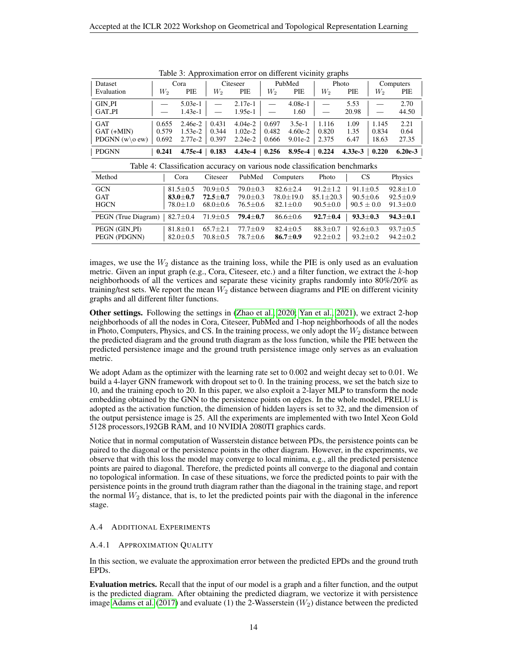<span id="page-13-2"></span>

|                                                                            | Table 5. Approximation error on uniferent victimly graphs |                   |          |                   |       |           |       |                   |           |           |
|----------------------------------------------------------------------------|-----------------------------------------------------------|-------------------|----------|-------------------|-------|-----------|-------|-------------------|-----------|-----------|
| Dataset                                                                    |                                                           | Cora              |          | Citeseer          |       | PubMed    | Photo |                   | Computers |           |
| Evaluation                                                                 | $W_2$                                                     | PIE               | W2       | PIE               | $W_2$ | PIE       | $W_2$ | PIE               | W2        | PIE       |
| GIN_PI                                                                     |                                                           | $5.03e-1$         |          | $2.17e-1$         |       | $4.08e-1$ |       | 5.53              |           | 2.70      |
| GAT_PI                                                                     |                                                           | $1.43e-1$         |          | $1.95e-1$         |       | 1.60      |       | 20.98             |           | 44.50     |
| <b>GAT</b>                                                                 | 0.655                                                     | $2.46e-2$         | 0.431    | $4.04e-2$         | 0.697 | $3.5e-1$  | 1.116 | 1.09              | 1.145     | 2.21      |
| $GAT$ $(+MIN)$                                                             | 0.579                                                     | $1.53e-2$         | 0.344    | $1.02e-2$         | 0.482 | $4.60e-2$ | 0.820 | 1.35              | 0.834     | 0.64      |
| PDGNN $(w \circ ew)$                                                       | 0.692                                                     | $2.77e-2$         | 0.397    | $2.24e-2$         | 0.666 | $9.01e-2$ | 2.375 | 6.47              | 18.63     | 27.35     |
| <b>PDGNN</b>                                                               | 0.241                                                     | $4.75e-4$   0.183 |          | $4.43e-4$   0.256 |       | $8.95e-4$ | 0.224 | $4.33e-3$   0.220 |           | $6.20e-3$ |
| Table 4: Classification accuracy on various node classification benchmarks |                                                           |                   |          |                   |       |           |       |                   |           |           |
| Method                                                                     |                                                           | Cora              | Citeseer | PubMed            |       | Computers | Photo | <b>CS</b>         |           | Physics   |

Table 3: Approximation error on different vicinity graphs

<span id="page-13-1"></span>

| 1 PUNI                                                                     |                                                    |                                                |                                                  | $0.441$ $-1.100$ $-1.100$ $-1.100$ $-1.100$ $-1.100$ $-1.100$ $-1.100$ | $\mathbf{v}$ . The state $\mathbf{v}$           |                                                  | $\cdots$                                         |  |  |  |
|----------------------------------------------------------------------------|----------------------------------------------------|------------------------------------------------|--------------------------------------------------|------------------------------------------------------------------------|-------------------------------------------------|--------------------------------------------------|--------------------------------------------------|--|--|--|
| Table 4: Classification accuracy on various node classification benchmarks |                                                    |                                                |                                                  |                                                                        |                                                 |                                                  |                                                  |  |  |  |
| Method                                                                     | Cora                                               | Citeseer                                       | PubMed                                           | Computers                                                              | Photo                                           | CS                                               | Physics                                          |  |  |  |
| <b>GCN</b><br><b>GAT</b><br><b>HGCN</b>                                    | $81.5 \pm 0.5$<br>$83.0 \pm 0.7$<br>$78.0 \pm 1.0$ | $70.9 + 0.5$<br>$72.5 + 0.7$<br>$68.0 \pm 0.6$ | $79.0 + 0.3$<br>$79.0 \pm 0.3$<br>$76.5 \pm 0.6$ | $82.6 + 2.4$<br>$78.0 \pm 19.0$<br>$82.1 + 0.0$                        | $91.2 + 1.2$<br>$85.1 + 20.3$<br>$90.5 \pm 0.0$ | $91.1 + 0.5$<br>$90.5 \pm 0.6$<br>$90.5 \pm 0.0$ | $92.8 + 1.0$<br>$92.5 \pm 0.9$<br>$91.3 \pm 0.0$ |  |  |  |
| PEGN (True Diagram)                                                        | $82.7 \pm 0.4$                                     | $71.9 \pm 0.5$                                 | $79.4 \pm 0.7$                                   | $86.6 \pm 0.6$                                                         | $92.7 + 0.4$                                    | $93.3 + 0.3$                                     | $94.3 \pm 0.1$                                   |  |  |  |
| PEGN (GIN_PI)<br>PEGN (PDGNN)                                              | $81.8 \pm 0.1$<br>$82.0 \pm 0.5$                   | $65.7 + 2.1$<br>$70.8 \pm 0.5$                 | $77.7+0.9$<br>78.7±0.6                           | $82.4 + 0.5$<br>$86.7 \pm 0.9$                                         | $88.3 + 0.7$<br>$92.2 \pm 0.2$                  | $92.6 \pm 0.3$<br>$93.2 \pm 0.2$                 | $93.7 \pm 0.5$<br>$94.2 \pm 0.2$                 |  |  |  |

images, we use the  $W_2$  distance as the training loss, while the PIE is only used as an evaluation metric. Given an input graph (e.g., Cora, Citeseer, etc.) and a filter function, we extract the  $k$ -hop neighborhoods of all the vertices and separate these vicinity graphs randomly into 80%/20% as training/test sets. We report the mean  $W_2$  distance between diagrams and PIE on different vicinity graphs and all different filter functions.

Other settings. Following the settings in [\(Zhao et al., 2020;](#page-6-2) [Yan et al., 2021\)](#page-6-3), we extract 2-hop neighborhoods of all the nodes in Cora, Citeseer, PubMed and 1-hop neighborhoods of all the nodes in Photo, Computers, Physics, and CS. In the training process, we only adopt the  $W<sub>2</sub>$  distance between the predicted diagram and the ground truth diagram as the loss function, while the PIE between the predicted persistence image and the ground truth persistence image only serves as an evaluation metric.

We adopt Adam as the optimizer with the learning rate set to 0.002 and weight decay set to 0.01. We build a 4-layer GNN framework with dropout set to 0. In the training process, we set the batch size to 10, and the training epoch to 20. In this paper, we also exploit a 2-layer MLP to transform the node embedding obtained by the GNN to the persistence points on edges. In the whole model, PRELU is adopted as the activation function, the dimension of hidden layers is set to 32, and the dimension of the output persistence image is 25. All the experiments are implemented with two Intel Xeon Gold 5128 processors,192GB RAM, and 10 NVIDIA 2080TI graphics cards.

Notice that in normal computation of Wasserstein distance between PDs, the persistence points can be paired to the diagonal or the persistence points in the other diagram. However, in the experiments, we observe that with this loss the model may converge to local minima, e.g., all the predicted persistence points are paired to diagonal. Therefore, the predicted points all converge to the diagonal and contain no topological information. In case of these situations, we force the predicted points to pair with the persistence points in the ground truth diagram rather than the diagonal in the training stage, and report the normal  $W_2$  distance, that is, to let the predicted points pair with the diagonal in the inference stage.

#### A.4 ADDITIONAL EXPERIMENTS

#### <span id="page-13-0"></span>A.4.1 APPROXIMATION QUALITY

In this section, we evaluate the approximation error between the predicted EPDs and the ground truth EPDs.

Evaluation metrics. Recall that the input of our model is a graph and a filter function, and the output is the predicted diagram. After obtaining the predicted diagram, we vectorize it with persistence image [Adams et al.](#page-4-10) [\(2017\)](#page-4-10) and evaluate (1) the 2-Wasserstein  $(W_2)$  distance between the predicted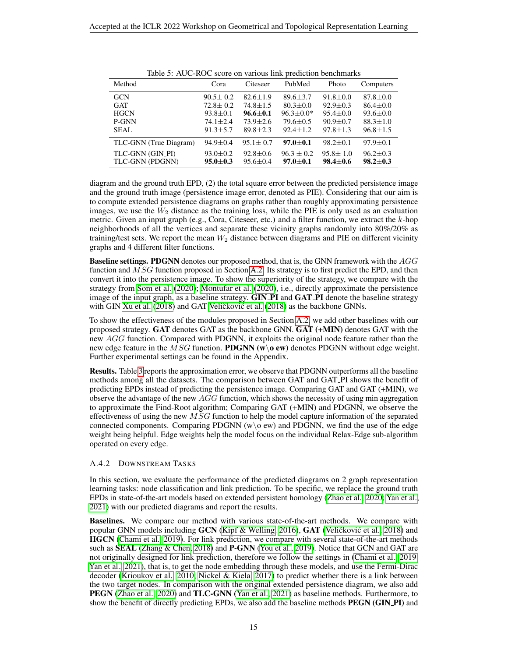<span id="page-14-1"></span>

| Tuble 5: The extra secret on various min prediction conciliums.<br>Method | Cora           | Citeseer       | PubMed          | Photo          | Computers      |
|---------------------------------------------------------------------------|----------------|----------------|-----------------|----------------|----------------|
| <b>GCN</b>                                                                | $90.5 \pm 0.2$ | $82.6 + 1.9$   | $89.6 \pm 3.7$  | $91.8 \pm 0.0$ | $87.8 \pm 0.0$ |
| <b>GAT</b>                                                                | $72.8 \pm 0.2$ | $74.8 + 1.5$   | $80.3 \pm 0.0$  | $92.9 \pm 0.3$ | $86.4 \pm 0.0$ |
| <b>HGCN</b>                                                               | $93.8 \pm 0.1$ | $96.6 \pm 0.1$ | $96.3 \pm 0.0*$ | $95.4 + 0.0$   | $93.6 \pm 0.0$ |
| P-GNN                                                                     | $74.1 \pm 2.4$ | $73.9 + 2.6$   | $79.6 \pm 0.5$  | $90.9 + 0.7$   | $88.3 \pm 1.0$ |
| SEAL                                                                      | $91.3 + 5.7$   | $89.8 \pm 2.3$ | $92.4 \pm 1.2$  | $97.8 \pm 1.3$ | $96.8 \pm 1.5$ |
| TLC-GNN (True Diagram)                                                    | $94.9 \pm 0.4$ | $95.1 \pm 0.7$ | $97.0 + 0.1$    | $98.2 \pm 0.1$ | $97.9 \pm 0.1$ |
| TLC-GNN (GIN_PI)                                                          | $93.0 \pm 0.2$ | $92.8 \pm 0.6$ | $96.3 + 0.2$    | $95.8 + 1.0$   | $96.2 + 0.3$   |
| TLC-GNN (PDGNN)                                                           | $95.0 \pm 0.3$ | $95.6 \pm 0.4$ | $97.0 \pm 0.1$  | $98.4 \pm 0.6$ | $98.2 \pm 0.3$ |

Table 5: AUC-ROC score on various link prediction benchmarks

diagram and the ground truth EPD, (2) the total square error between the predicted persistence image and the ground truth image (persistence image error, denoted as PIE). Considering that our aim is to compute extended persistence diagrams on graphs rather than roughly approximating persistence images, we use the  $W_2$  distance as the training loss, while the PIE is only used as an evaluation metric. Given an input graph (e.g., Cora, Citeseer, etc.) and a filter function, we extract the  $k$ -hop neighborhoods of all the vertices and separate these vicinity graphs randomly into 80%/20% as training/test sets. We report the mean  $W_2$  distance between diagrams and PIE on different vicinity graphs and 4 different filter functions.

Baseline settings. PDGNN denotes our proposed method, that is, the GNN framework with the AGG function and MSG function proposed in Section [A.2.](#page-10-1) Its strategy is to first predict the EPD, and then convert it into the persistence image. To show the superiority of the strategy, we compare with the strategy from [Som et al.](#page-6-6) [\(2020\)](#page-6-6); [Montufar et al.](#page-5-2) [\(2020\)](#page-5-2), i.e., directly approximate the persistence image of the input graph, as a baseline strategy. GIN PI and GAT PI denote the baseline strategy with GIN [Xu et al.](#page-6-16)  $(2018)$  and GAT Veličković et al.  $(2018)$  as the backbone GNNs.

To show the effectiveness of the modules proposed in Section [A.2,](#page-10-1) we add other baselines with our proposed strategy. GAT denotes GAT as the backbone GNN. GAT (+MIN) denotes GAT with the new AGG function. Compared with PDGNN, it exploits the original node feature rather than the new edge feature in the MSG function. **PDGNN** (w\o ew) denotes PDGNN without edge weight. Further experimental settings can be found in the Appendix.

Results. Table [3](#page-13-2) reports the approximation error, we observe that PDGNN outperforms all the baseline methods among all the datasets. The comparison between GAT and GAT PI shows the benefit of predicting EPDs instead of predicting the persistence image. Comparing GAT and GAT (+MIN), we observe the advantage of the new  $AGG$  function, which shows the necessity of using min aggregation to approximate the Find-Root algorithm; Comparing GAT (+MIN) and PDGNN, we observe the effectiveness of using the new  $MSG$  function to help the model capture information of the separated connected components. Comparing PDGNN ( $w \ge 0$  and PDGNN, we find the use of the edge weight being helpful. Edge weights help the model focus on the individual Relax-Edge sub-algorithm operated on every edge.

#### <span id="page-14-0"></span>A.4.2 DOWNSTREAM TASKS

In this section, we evaluate the performance of the predicted diagrams on 2 graph representation learning tasks: node classification and link prediction. To be specific, we replace the ground truth EPDs in state-of-the-art models based on extended persistent homology [\(Zhao et al., 2020;](#page-6-2) [Yan et al.,](#page-6-3) [2021\)](#page-6-3) with our predicted diagrams and report the results.

Baselines. We compare our method with various state-of-the-art methods. We compare with popular GNN models including  $GCN$  [\(Kipf & Welling, 2016\)](#page-5-15),  $GAT$  (Veličković et al., [2018\)](#page-6-17) and HGCN [\(Chami et al., 2019\)](#page-4-9). For link prediction, we compare with several state-of-the-art methods such as **SEAL** [\(Zhang & Chen, 2018\)](#page-6-19) and **P-GNN** [\(You et al., 2019\)](#page-6-0). Notice that GCN and GAT are not originally designed for link prediction, therefore we follow the settings in [\(Chami et al., 2019;](#page-4-9) [Yan et al., 2021\)](#page-6-3), that is, to get the node embedding through these models, and use the Fermi-Dirac decoder [\(Krioukov et al., 2010;](#page-5-16) [Nickel & Kiela, 2017\)](#page-5-17) to predict whether there is a link between the two target nodes. In comparison with the original extended persistence diagram, we also add PEGN [\(Zhao et al., 2020\)](#page-6-2) and TLC-GNN [\(Yan et al., 2021\)](#page-6-3) as baseline methods. Furthermore, to show the benefit of directly predicting EPDs, we also add the baseline methods **PEGN (GIN PI)** and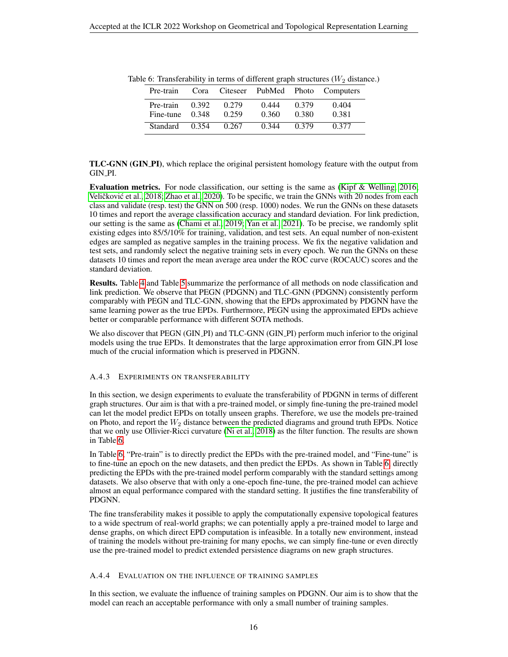| Pre-train                      |       |                |                |                | Cora Citeseer PubMed Photo Computers |
|--------------------------------|-------|----------------|----------------|----------------|--------------------------------------|
| Pre-train<br>Fine-tune $0.348$ | 0.392 | 0.279<br>0.259 | 0.444<br>0.360 | 0.379<br>0.380 | 0.404<br>0.381                       |
| <b>Standard</b>                |       | 0.354 0.267    | 0.344          | 0.379          | 0.377                                |

<span id="page-15-0"></span>Table 6: Transferability in terms of different graph structures  $(W_2$  distance.)

TLC-GNN (GIN PI), which replace the original persistent homology feature with the output from GIN PI.

Evaluation metrics. For node classification, our setting is the same as [\(Kipf & Welling, 2016;](#page-5-15) Veličković et al., [2018;](#page-6-17) [Zhao et al., 2020\)](#page-6-2). To be specific, we train the GNNs with 20 nodes from each class and validate (resp. test) the GNN on 500 (resp. 1000) nodes. We run the GNNs on these datasets 10 times and report the average classification accuracy and standard deviation. For link prediction, our setting is the same as [\(Chami et al., 2019;](#page-4-9) [Yan et al., 2021\)](#page-6-3). To be precise, we randomly split existing edges into 85/5/10% for training, validation, and test sets. An equal number of non-existent edges are sampled as negative samples in the training process. We fix the negative validation and test sets, and randomly select the negative training sets in every epoch. We run the GNNs on these datasets 10 times and report the mean average area under the ROC curve (ROCAUC) scores and the standard deviation.

Results. Table [4](#page-13-1) and Table [5](#page-14-1) summarize the performance of all methods on node classification and link prediction. We observe that PEGN (PDGNN) and TLC-GNN (PDGNN) consistently perform comparably with PEGN and TLC-GNN, showing that the EPDs approximated by PDGNN have the same learning power as the true EPDs. Furthermore, PEGN using the approximated EPDs achieve better or comparable performance with different SOTA methods.

We also discover that PEGN (GIN PI) and TLC-GNN (GIN PI) perform much inferior to the original models using the true EPDs. It demonstrates that the large approximation error from GIN PI lose much of the crucial information which is preserved in PDGNN.

#### <span id="page-15-1"></span>A.4.3 EXPERIMENTS ON TRANSFERABILITY

In this section, we design experiments to evaluate the transferability of PDGNN in terms of different graph structures. Our aim is that with a pre-trained model, or simply fine-tuning the pre-trained model can let the model predict EPDs on totally unseen graphs. Therefore, we use the models pre-trained on Photo, and report the  $W_2$  distance between the predicted diagrams and ground truth EPDs. Notice that we only use Ollivier-Ricci curvature [\(Ni et al., 2018\)](#page-5-13) as the filter function. The results are shown in Table [6.](#page-15-0)

In Table [6,](#page-15-0) "Pre-train" is to directly predict the EPDs with the pre-trained model, and "Fine-tune" is to fine-tune an epoch on the new datasets, and then predict the EPDs. As shown in Table [6,](#page-15-0) directly predicting the EPDs with the pre-trained model perform comparably with the standard settings among datasets. We also observe that with only a one-epoch fine-tune, the pre-trained model can achieve almost an equal performance compared with the standard setting. It justifies the fine transferability of PDGNN.

The fine transferability makes it possible to apply the computationally expensive topological features to a wide spectrum of real-world graphs; we can potentially apply a pre-trained model to large and dense graphs, on which direct EPD computation is infeasible. In a totally new environment, instead of training the models without pre-training for many epochs, we can simply fine-tune or even directly use the pre-trained model to predict extended persistence diagrams on new graph structures.

#### <span id="page-15-2"></span>A.4.4 EVALUATION ON THE INFLUENCE OF TRAINING SAMPLES

In this section, we evaluate the influence of training samples on PDGNN. Our aim is to show that the model can reach an acceptable performance with only a small number of training samples.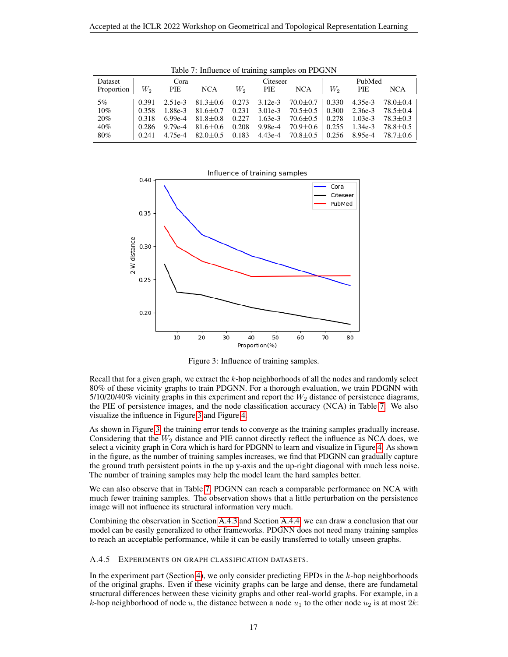<span id="page-16-0"></span>

| Dataset    | Cora  |     |            | Citeseer |     |                                                                                      | PubMed |     |                        |
|------------|-------|-----|------------|----------|-----|--------------------------------------------------------------------------------------|--------|-----|------------------------|
| Proportion | W,    | PIE | <b>NCA</b> | $W_2$    | PIE | <b>NCA</b>                                                                           | $W_2$  | PIE | <b>NCA</b>             |
| $5\%$      | 0.391 |     |            |          |     | 2.51e-3 81.3 $\pm$ 0.6 0.273 3.12e-3 70.0 $\pm$ 0.7 0.330 4.35e-3 78.0 $\pm$ 0.4     |        |     |                        |
| $10\%$     | 0.358 |     |            |          |     | $1.88e-3$ $81.6\pm0.7$ 0.231 3.01e-3 70.5 $\pm$ 0.5 0.300 2.36e-3 78.5 $\pm$ 0.4     |        |     |                        |
| 20%        | 0.318 |     |            |          |     | 6.99e-4 81.8 $\pm$ 0.8   0.227 1.63e-3 70.6 $\pm$ 0.5   0.278                        |        |     | 1.03e-3 $78.3 \pm 0.3$ |
| 40%        | 0.286 |     |            |          |     | 9.79e-4 81.6 $\pm$ 0.6   0.208 9.98e-4 70.9 $\pm$ 0.6   0.255                        |        |     | 1.34e-3 $78.8 \pm 0.5$ |
| 80%        | 0.241 |     |            |          |     | $4.75e-4$ $82.0 \pm 0.5$ 0.183 $4.43e-4$ $70.8 \pm 0.5$ 0.256 8.95e-4 $78.7 \pm 0.6$ |        |     |                        |

Table 7: Influence of training samples on PDGNN



<span id="page-16-1"></span>Figure 3: Influence of training samples.

Recall that for a given graph, we extract the k-hop neighborhoods of all the nodes and randomly select 80% of these vicinity graphs to train PDGNN. For a thorough evaluation, we train PDGNN with  $5/10/20/40\%$  vicinity graphs in this experiment and report the  $W_2$  distance of persistence diagrams, the PIE of persistence images, and the node classification accuracy (NCA) in Table [7.](#page-16-0) We also visualize the influence in Figure [3](#page-16-1) and Figure [4.](#page-17-0)

As shown in Figure [3,](#page-16-1) the training error tends to converge as the training samples gradually increase. Considering that the  $W_2$  distance and PIE cannot directly reflect the influence as NCA does, we select a vicinity graph in Cora which is hard for PDGNN to learn and visualize in Figure [4.](#page-17-0) As shown in the figure, as the number of training samples increases, we find that PDGNN can gradually capture the ground truth persistent points in the up y-axis and the up-right diagonal with much less noise. The number of training samples may help the model learn the hard samples better.

We can also observe that in Table [7,](#page-16-0) PDGNN can reach a comparable performance on NCA with much fewer training samples. The observation shows that a little perturbation on the persistence image will not influence its structural information very much.

Combining the observation in Section [A.4.3](#page-15-1) and Section [A.4.4,](#page-15-2) we can draw a conclusion that our model can be easily generalized to other frameworks. PDGNN does not need many training samples to reach an acceptable performance, while it can be easily transferred to totally unseen graphs.

#### A.4.5 EXPERIMENTS ON GRAPH CLASSIFICATION DATASETS.

In the experiment part (Section [4\)](#page-3-1), we only consider predicting EPDs in the  $k$ -hop neighborhoods of the original graphs. Even if these vicinity graphs can be large and dense, there are fundametal structural differences between these vicinity graphs and other real-world graphs. For example, in a k-hop neighborhood of node u, the distance between a node  $u_1$  to the other node  $u_2$  is at most 2k: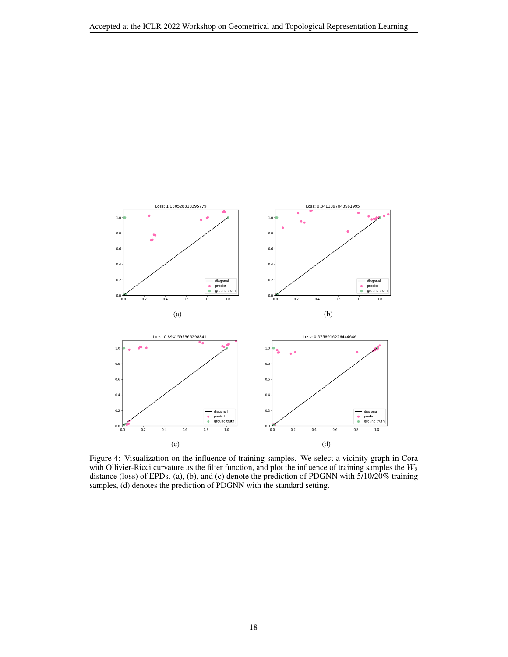

<span id="page-17-0"></span>Figure 4: Visualization on the influence of training samples. We select a vicinity graph in Cora with Ollivier-Ricci curvature as the filter function, and plot the influence of training samples the  $W_2$ distance (loss) of EPDs. (a), (b), and (c) denote the prediction of PDGNN with 5/10/20% training samples, (d) denotes the prediction of PDGNN with the standard setting.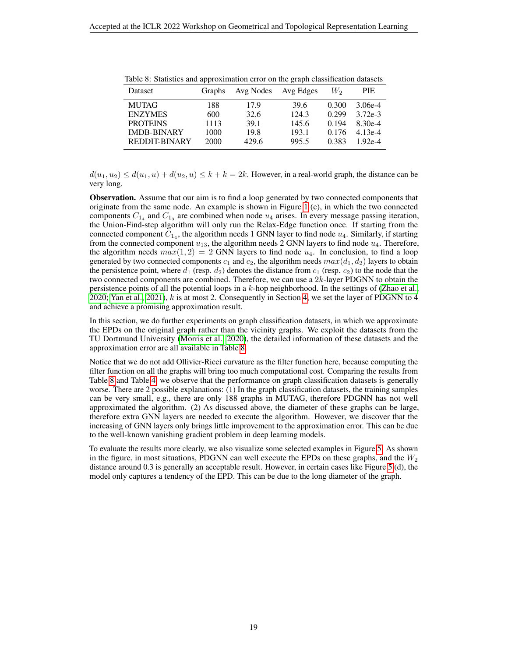| Dataset            | <b>Graphs</b> | Avg Nodes | Avg Edges | W <sub>2</sub> | PIE.      |
|--------------------|---------------|-----------|-----------|----------------|-----------|
| <b>MUTAG</b>       | 188           | 17.9      | 39.6      | 0.300          | $3.06e-4$ |
| <b>ENZYMES</b>     | 600           | 32.6      | 124.3     | 0.299          | $3.72e-3$ |
| <b>PROTEINS</b>    | 1113          | 39.1      | 145.6     | 0.194          | 8.30e-4   |
| <b>IMDB-BINARY</b> | 1000          | 19.8      | 193.1     | 0.176          | $4.13e-4$ |
| REDDIT-BINARY      | 2000          | 429.6     | 995.5     | 0.383          | 1.92e-4   |

<span id="page-18-0"></span>Table 8: Statistics and approximation error on the graph classification datasets

 $d(u_1, u_2) \leq d(u_1, u) + d(u_2, u) \leq k + k = 2k$ . However, in a real-world graph, the distance can be very long.

Observation. Assume that our aim is to find a loop generated by two connected components that originate from the same node. An example is shown in Figure [1](#page-1-0) (c), in which the two connected components  $C_{1_4}$  and  $C_{1_3}$  are combined when node  $u_4$  arises. In every message passing iteration, the Union-Find-step algorithm will only run the Relax-Edge function once. If starting from the connected component  $C_{14}$ , the algorithm needs 1 GNN layer to find node  $u_4$ . Similarly, if starting from the connected component  $u_{13}$ , the algorithm needs 2 GNN layers to find node  $u_4$ . Therefore, the algorithm needs  $max(1, 2) = 2$  GNN layers to find node  $u_4$ . In conclusion, to find a loop generated by two connected components  $c_1$  and  $c_2$ , the algorithm needs  $max(d_1, d_2)$  layers to obtain the persistence point, where  $d_1$  (resp.  $d_2$ ) denotes the distance from  $c_1$  (resp.  $c_2$ ) to the node that the two connected components are combined. Therefore, we can use a 2k-layer PDGNN to obtain the persistence points of all the potential loops in a k-hop neighborhood. In the settings of [\(Zhao et al.,](#page-6-2) [2020;](#page-6-2) [Yan et al., 2021\)](#page-6-3),  $k$  is at most 2. Consequently in Section [4,](#page-3-1) we set the layer of PDGNN to 4 and achieve a promising approximation result.

In this section, we do further experiments on graph classification datasets, in which we approximate the EPDs on the original graph rather than the vicinity graphs. We exploit the datasets from the TU Dortmund University [\(Morris et al., 2020\)](#page-5-18), the detailed information of these datasets and the approximation error are all available in Table [8.](#page-18-0)

Notice that we do not add Ollivier-Ricci curvature as the filter function here, because computing the filter function on all the graphs will bring too much computational cost. Comparing the results from Table [8](#page-18-0) and Table [4,](#page-13-1) we observe that the performance on graph classification datasets is generally worse. There are 2 possible explanations: (1) In the graph classification datasets, the training samples can be very small, e.g., there are only 188 graphs in MUTAG, therefore PDGNN has not well approximated the algorithm. (2) As discussed above, the diameter of these graphs can be large, therefore extra GNN layers are needed to execute the algorithm. However, we discover that the increasing of GNN layers only brings little improvement to the approximation error. This can be due to the well-known vanishing gradient problem in deep learning models.

To evaluate the results more clearly, we also visualize some selected examples in Figure [5.](#page-19-0) As shown in the figure, in most situations, PDGNN can well execute the EPDs on these graphs, and the  $W_2$ distance around 0.3 is generally an acceptable result. However, in certain cases like Figure [5](#page-19-0) (d), the model only captures a tendency of the EPD. This can be due to the long diameter of the graph.